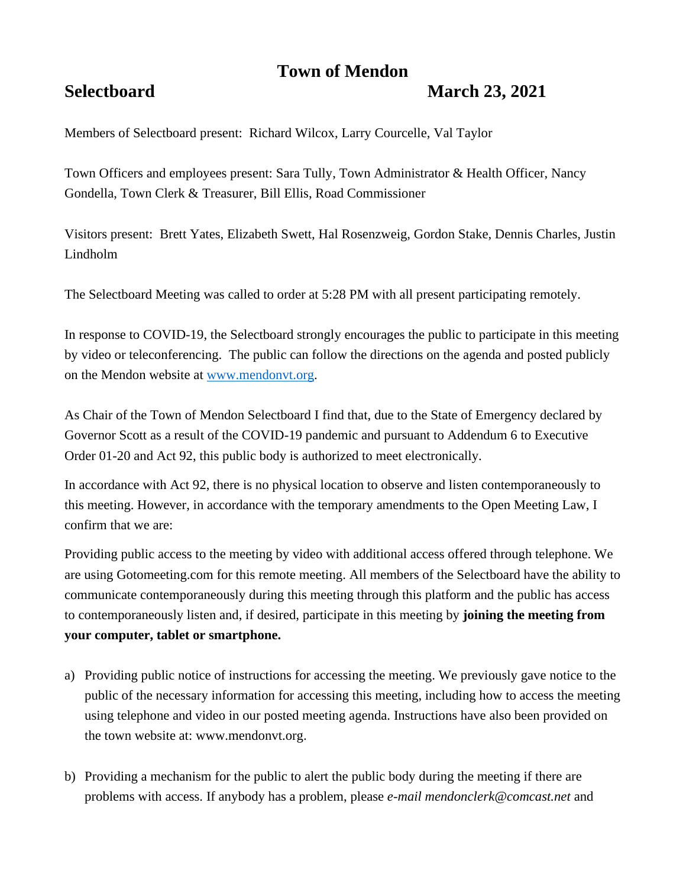# **Town of Mendon**

## **Selectboard March 23, 2021**

Members of Selectboard present: Richard Wilcox, Larry Courcelle, Val Taylor

Town Officers and employees present: Sara Tully, Town Administrator & Health Officer, Nancy Gondella, Town Clerk & Treasurer, Bill Ellis, Road Commissioner

Visitors present: Brett Yates, Elizabeth Swett, Hal Rosenzweig, Gordon Stake, Dennis Charles, Justin Lindholm

The Selectboard Meeting was called to order at 5:28 PM with all present participating remotely.

In response to COVID-19, the Selectboard strongly encourages the public to participate in this meeting by video or teleconferencing. The public can follow the directions on the agenda and posted publicly on the Mendon website at [www.mendonvt.org.](http://www.mendonvt.org/)

As Chair of the Town of Mendon Selectboard I find that, due to the State of Emergency declared by Governor Scott as a result of the COVID-19 pandemic and pursuant to Addendum 6 to Executive Order 01-20 and Act 92, this public body is authorized to meet electronically.

In accordance with Act 92, there is no physical location to observe and listen contemporaneously to this meeting. However, in accordance with the temporary amendments to the Open Meeting Law, I confirm that we are:

Providing public access to the meeting by video with additional access offered through telephone. We are using Gotomeeting.com for this remote meeting. All members of the Selectboard have the ability to communicate contemporaneously during this meeting through this platform and the public has access to contemporaneously listen and, if desired, participate in this meeting by **joining the meeting from your computer, tablet or smartphone.** 

- a) Providing public notice of instructions for accessing the meeting. We previously gave notice to the public of the necessary information for accessing this meeting, including how to access the meeting using telephone and video in our posted meeting agenda. Instructions have also been provided on the town website at: www.mendonvt.org.
- b) Providing a mechanism for the public to alert the public body during the meeting if there are problems with access. If anybody has a problem, please *e-mail mendonclerk@comcast.net* and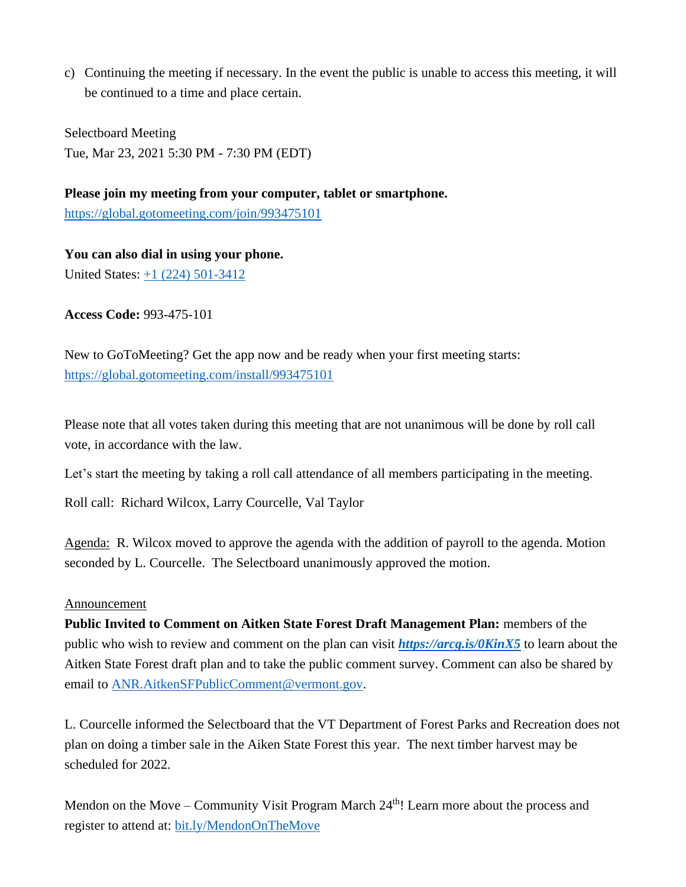c) Continuing the meeting if necessary. In the event the public is unable to access this meeting, it will be continued to a time and place certain.

Selectboard Meeting Tue, Mar 23, 2021 5:30 PM - 7:30 PM (EDT)

**Please join my meeting from your computer, tablet or smartphone.**  <https://global.gotomeeting.com/join/993475101>

**You can also dial in using your phone.** United States: [+1 \(224\) 501-3412](tel:+12245013412,,993475101)

**Access Code:** 993-475-101

New to GoToMeeting? Get the app now and be ready when your first meeting starts: <https://global.gotomeeting.com/install/993475101>

Please note that all votes taken during this meeting that are not unanimous will be done by roll call vote, in accordance with the law.

Let's start the meeting by taking a roll call attendance of all members participating in the meeting.

Roll call: Richard Wilcox, Larry Courcelle, Val Taylor

Agenda: R. Wilcox moved to approve the agenda with the addition of payroll to the agenda. Motion seconded by L. Courcelle. The Selectboard unanimously approved the motion.

#### Announcement

**Public Invited to Comment on Aitken State Forest Draft Management Plan:** members of the public who wish to review and comment on the plan can visit *<https://arcg.is/0KinX5>* to learn about the Aitken State Forest draft plan and to take the public comment survey. Comment can also be shared by email to [ANR.AitkenSFPublicComment@vermont.gov.](mailto:ANR.AitkenSFPublicComment@vermont.gov)

L. Courcelle informed the Selectboard that the VT Department of Forest Parks and Recreation does not plan on doing a timber sale in the Aiken State Forest this year. The next timber harvest may be scheduled for 2022.

Mendon on the Move – Community Visit Program March  $24<sup>th</sup>$ ! Learn more about the process and register to attend at: [bit.ly/MendonOnTheMove](https://bit.ly/MendonOnTheMove?fbclid=IwAR0jQrQj_RwsnPwjZzfBKueydPhL4F6eLc98zR7WkWWIaxe-ZrOcWqWublg)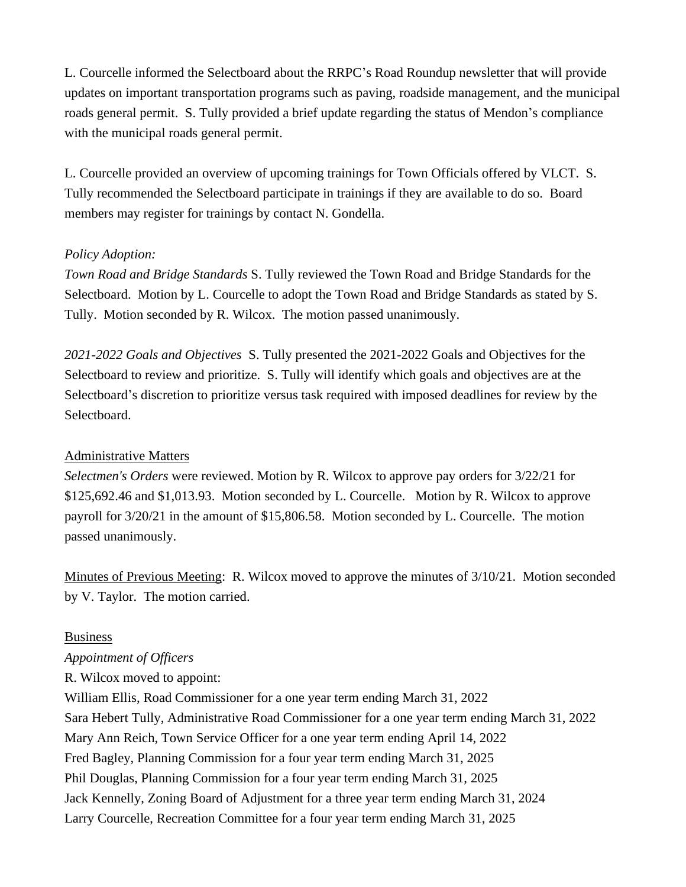L. Courcelle informed the Selectboard about the RRPC's Road Roundup newsletter that will provide updates on important transportation programs such as paving, roadside management, and the municipal roads general permit. S. Tully provided a brief update regarding the status of Mendon's compliance with the municipal roads general permit.

L. Courcelle provided an overview of upcoming trainings for Town Officials offered by VLCT. S. Tully recommended the Selectboard participate in trainings if they are available to do so. Board members may register for trainings by contact N. Gondella.

### *Policy Adoption:*

*Town Road and Bridge Standards* S. Tully reviewed the Town Road and Bridge Standards for the Selectboard. Motion by L. Courcelle to adopt the Town Road and Bridge Standards as stated by S. Tully. Motion seconded by R. Wilcox. The motion passed unanimously.

*2021-2022 Goals and Objectives* S. Tully presented the 2021-2022 Goals and Objectives for the Selectboard to review and prioritize. S. Tully will identify which goals and objectives are at the Selectboard's discretion to prioritize versus task required with imposed deadlines for review by the Selectboard.

#### Administrative Matters

*Selectmen's Orders* were reviewed. Motion by R. Wilcox to approve pay orders for 3/22/21 for \$125,692.46 and \$1,013.93. Motion seconded by L. Courcelle. Motion by R. Wilcox to approve payroll for 3/20/21 in the amount of \$15,806.58. Motion seconded by L. Courcelle. The motion passed unanimously.

Minutes of Previous Meeting: R. Wilcox moved to approve the minutes of 3/10/21. Motion seconded by V. Taylor. The motion carried.

#### Business

#### *Appointment of Officers*

R. Wilcox moved to appoint:

William Ellis, Road Commissioner for a one year term ending March 31, 2022 Sara Hebert Tully, Administrative Road Commissioner for a one year term ending March 31, 2022 Mary Ann Reich, Town Service Officer for a one year term ending April 14, 2022 Fred Bagley, Planning Commission for a four year term ending March 31, 2025 Phil Douglas, Planning Commission for a four year term ending March 31, 2025 Jack Kennelly, Zoning Board of Adjustment for a three year term ending March 31, 2024 Larry Courcelle, Recreation Committee for a four year term ending March 31, 2025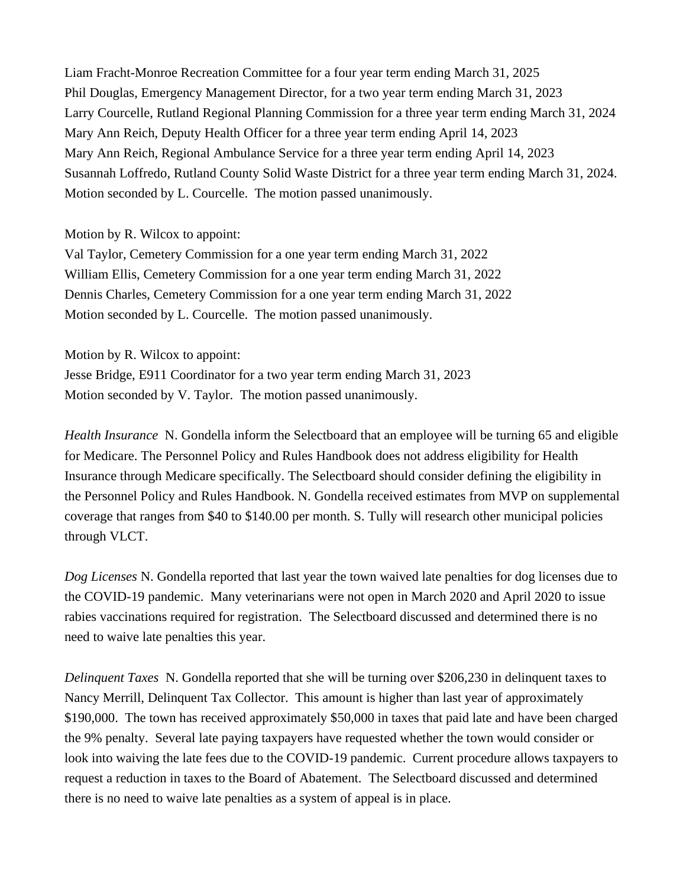Liam Fracht-Monroe Recreation Committee for a four year term ending March 31, 2025 Phil Douglas, Emergency Management Director, for a two year term ending March 31, 2023 Larry Courcelle, Rutland Regional Planning Commission for a three year term ending March 31, 2024 Mary Ann Reich, Deputy Health Officer for a three year term ending April 14, 2023 Mary Ann Reich, Regional Ambulance Service for a three year term ending April 14, 2023 Susannah Loffredo, Rutland County Solid Waste District for a three year term ending March 31, 2024. Motion seconded by L. Courcelle. The motion passed unanimously.

#### Motion by R. Wilcox to appoint:

Val Taylor, Cemetery Commission for a one year term ending March 31, 2022 William Ellis, Cemetery Commission for a one year term ending March 31, 2022 Dennis Charles, Cemetery Commission for a one year term ending March 31, 2022 Motion seconded by L. Courcelle. The motion passed unanimously.

Motion by R. Wilcox to appoint:

Jesse Bridge, E911 Coordinator for a two year term ending March 31, 2023 Motion seconded by V. Taylor. The motion passed unanimously.

*Health Insurance* N. Gondella inform the Selectboard that an employee will be turning 65 and eligible for Medicare. The Personnel Policy and Rules Handbook does not address eligibility for Health Insurance through Medicare specifically. The Selectboard should consider defining the eligibility in the Personnel Policy and Rules Handbook. N. Gondella received estimates from MVP on supplemental coverage that ranges from \$40 to \$140.00 per month. S. Tully will research other municipal policies through VLCT.

*Dog Licenses* N. Gondella reported that last year the town waived late penalties for dog licenses due to the COVID-19 pandemic. Many veterinarians were not open in March 2020 and April 2020 to issue rabies vaccinations required for registration. The Selectboard discussed and determined there is no need to waive late penalties this year.

*Delinquent Taxes* N. Gondella reported that she will be turning over \$206,230 in delinquent taxes to Nancy Merrill, Delinquent Tax Collector. This amount is higher than last year of approximately \$190,000. The town has received approximately \$50,000 in taxes that paid late and have been charged the 9% penalty. Several late paying taxpayers have requested whether the town would consider or look into waiving the late fees due to the COVID-19 pandemic. Current procedure allows taxpayers to request a reduction in taxes to the Board of Abatement. The Selectboard discussed and determined there is no need to waive late penalties as a system of appeal is in place.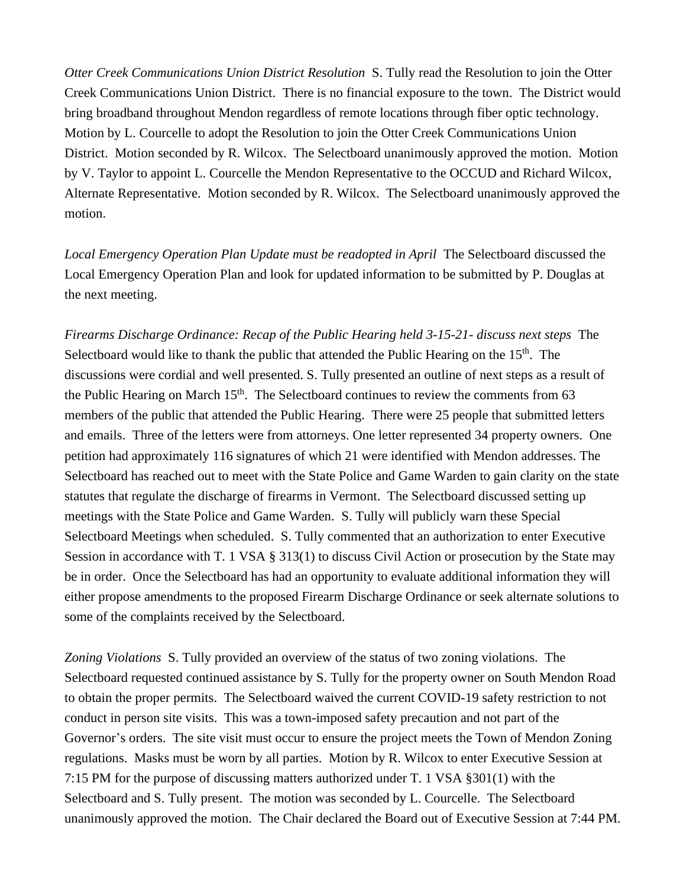*Otter Creek Communications Union District Resolution* S. Tully read the Resolution to join the Otter Creek Communications Union District. There is no financial exposure to the town. The District would bring broadband throughout Mendon regardless of remote locations through fiber optic technology. Motion by L. Courcelle to adopt the Resolution to join the Otter Creek Communications Union District. Motion seconded by R. Wilcox. The Selectboard unanimously approved the motion. Motion by V. Taylor to appoint L. Courcelle the Mendon Representative to the OCCUD and Richard Wilcox, Alternate Representative. Motion seconded by R. Wilcox. The Selectboard unanimously approved the motion.

*Local Emergency Operation Plan Update must be readopted in April* The Selectboard discussed the Local Emergency Operation Plan and look for updated information to be submitted by P. Douglas at the next meeting.

*Firearms Discharge Ordinance: Recap of the Public Hearing held 3-15-21- discuss next steps* The Selectboard would like to thank the public that attended the Public Hearing on the  $15<sup>th</sup>$ . The discussions were cordial and well presented. S. Tully presented an outline of next steps as a result of the Public Hearing on March  $15<sup>th</sup>$ . The Selectboard continues to review the comments from 63 members of the public that attended the Public Hearing. There were 25 people that submitted letters and emails. Three of the letters were from attorneys. One letter represented 34 property owners. One petition had approximately 116 signatures of which 21 were identified with Mendon addresses. The Selectboard has reached out to meet with the State Police and Game Warden to gain clarity on the state statutes that regulate the discharge of firearms in Vermont. The Selectboard discussed setting up meetings with the State Police and Game Warden. S. Tully will publicly warn these Special Selectboard Meetings when scheduled. S. Tully commented that an authorization to enter Executive Session in accordance with T. 1 VSA § 313(1) to discuss Civil Action or prosecution by the State may be in order. Once the Selectboard has had an opportunity to evaluate additional information they will either propose amendments to the proposed Firearm Discharge Ordinance or seek alternate solutions to some of the complaints received by the Selectboard.

*Zoning Violations* S. Tully provided an overview of the status of two zoning violations. The Selectboard requested continued assistance by S. Tully for the property owner on South Mendon Road to obtain the proper permits. The Selectboard waived the current COVID-19 safety restriction to not conduct in person site visits. This was a town-imposed safety precaution and not part of the Governor's orders. The site visit must occur to ensure the project meets the Town of Mendon Zoning regulations. Masks must be worn by all parties. Motion by R. Wilcox to enter Executive Session at 7:15 PM for the purpose of discussing matters authorized under T. 1 VSA §301(1) with the Selectboard and S. Tully present. The motion was seconded by L. Courcelle. The Selectboard unanimously approved the motion. The Chair declared the Board out of Executive Session at 7:44 PM.